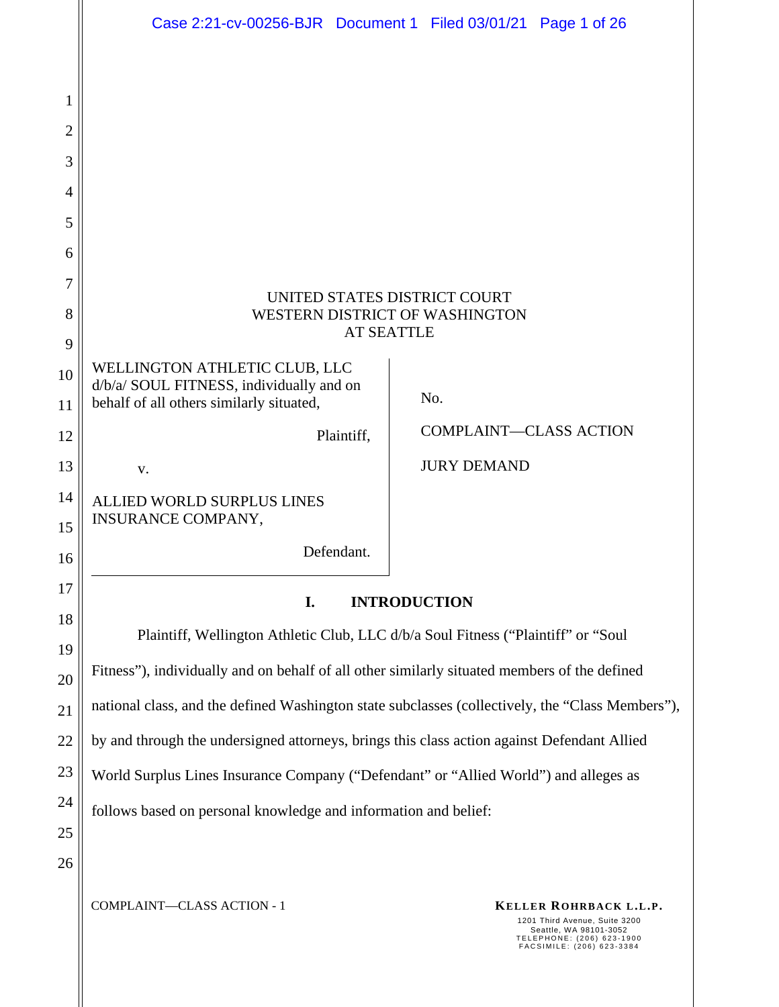|                |                                                                                                  | Case 2:21-cv-00256-BJR  Document 1  Filed 03/01/21  Page 1 of 26                                                                            |  |
|----------------|--------------------------------------------------------------------------------------------------|---------------------------------------------------------------------------------------------------------------------------------------------|--|
|                |                                                                                                  |                                                                                                                                             |  |
| 1              |                                                                                                  |                                                                                                                                             |  |
| $\overline{2}$ |                                                                                                  |                                                                                                                                             |  |
| 3              |                                                                                                  |                                                                                                                                             |  |
| $\overline{4}$ |                                                                                                  |                                                                                                                                             |  |
| 5              |                                                                                                  |                                                                                                                                             |  |
| 6              |                                                                                                  |                                                                                                                                             |  |
| 7              | UNITED STATES DISTRICT COURT                                                                     |                                                                                                                                             |  |
| 8              | WESTERN DISTRICT OF WASHINGTON<br><b>AT SEATTLE</b>                                              |                                                                                                                                             |  |
| 9              | WELLINGTON ATHLETIC CLUB, LLC                                                                    |                                                                                                                                             |  |
| 10<br>11       | d/b/a/ SOUL FITNESS, individually and on<br>behalf of all others similarly situated,             | No.                                                                                                                                         |  |
| 12             | Plaintiff,                                                                                       | <b>COMPLAINT-CLASS ACTION</b>                                                                                                               |  |
| 13             | V.                                                                                               | <b>JURY DEMAND</b>                                                                                                                          |  |
| 14             | <b>ALLIED WORLD SURPLUS LINES</b>                                                                |                                                                                                                                             |  |
| 15             | <b>INSURANCE COMPANY,</b>                                                                        |                                                                                                                                             |  |
| 16             | Defendant.                                                                                       |                                                                                                                                             |  |
| 17             | I.                                                                                               | <b>INTRODUCTION</b>                                                                                                                         |  |
| 18             | Plaintiff, Wellington Athletic Club, LLC d/b/a Soul Fitness ("Plaintiff" or "Soul                |                                                                                                                                             |  |
| 19             |                                                                                                  |                                                                                                                                             |  |
| 20             | Fitness"), individually and on behalf of all other similarly situated members of the defined     |                                                                                                                                             |  |
| 21             | national class, and the defined Washington state subclasses (collectively, the "Class Members"), |                                                                                                                                             |  |
| 22             | by and through the undersigned attorneys, brings this class action against Defendant Allied      |                                                                                                                                             |  |
| 23             | World Surplus Lines Insurance Company ("Defendant" or "Allied World") and alleges as             |                                                                                                                                             |  |
| 24             | follows based on personal knowledge and information and belief:                                  |                                                                                                                                             |  |
| 25             |                                                                                                  |                                                                                                                                             |  |
| 26             |                                                                                                  |                                                                                                                                             |  |
|                | COMPLAINT-CLASS ACTION - 1                                                                       | KELLER ROHRBACK L.L.P.<br>1201 Third Avenue, Suite 3200<br>Seattle, WA 98101-3052<br>TELEPHONE: (206) 623-1900<br>FACSIMILE: (206) 623-3384 |  |
|                |                                                                                                  |                                                                                                                                             |  |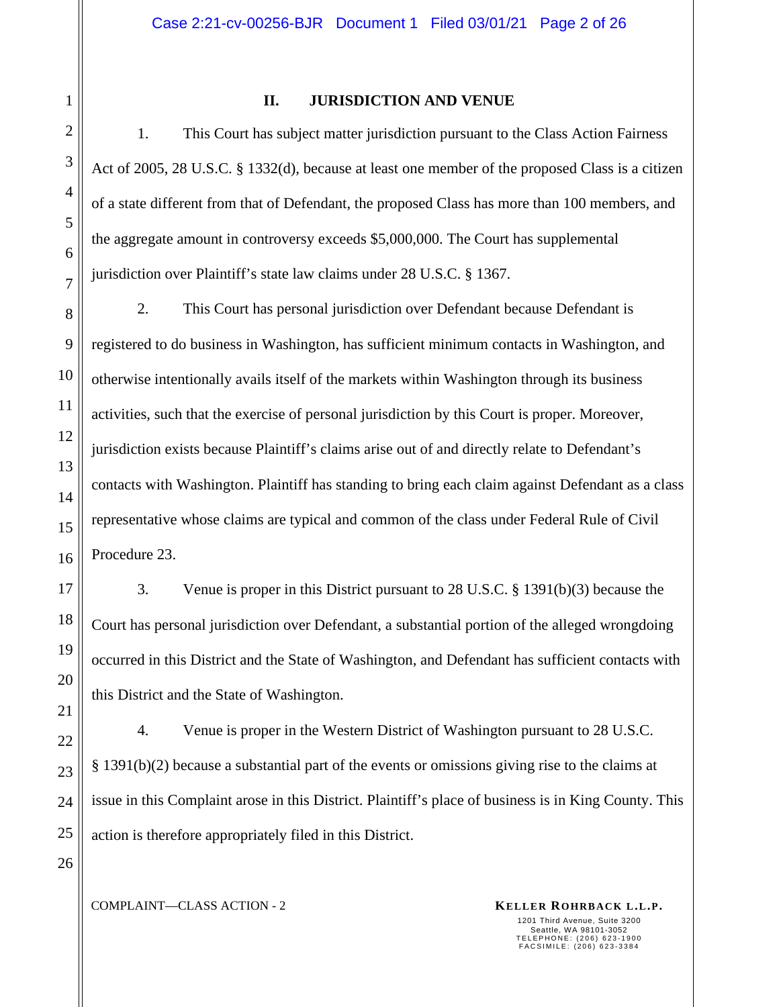### **II. JURISDICTION AND VENUE**

1. This Court has subject matter jurisdiction pursuant to the Class Action Fairness Act of 2005, 28 U.S.C. § 1332(d), because at least one member of the proposed Class is a citizen of a state different from that of Defendant, the proposed Class has more than 100 members, and the aggregate amount in controversy exceeds \$5,000,000. The Court has supplemental jurisdiction over Plaintiff's state law claims under 28 U.S.C. § 1367.

2. This Court has personal jurisdiction over Defendant because Defendant is registered to do business in Washington, has sufficient minimum contacts in Washington, and otherwise intentionally avails itself of the markets within Washington through its business activities, such that the exercise of personal jurisdiction by this Court is proper. Moreover, jurisdiction exists because Plaintiff's claims arise out of and directly relate to Defendant's contacts with Washington. Plaintiff has standing to bring each claim against Defendant as a class representative whose claims are typical and common of the class under Federal Rule of Civil Procedure 23.

3. Venue is proper in this District pursuant to 28 U.S.C. § 1391(b)(3) because the Court has personal jurisdiction over Defendant, a substantial portion of the alleged wrongdoing occurred in this District and the State of Washington, and Defendant has sufficient contacts with this District and the State of Washington.

4. Venue is proper in the Western District of Washington pursuant to 28 U.S.C. § 1391(b)(2) because a substantial part of the events or omissions giving rise to the claims at issue in this Complaint arose in this District. Plaintiff's place of business is in King County. This action is therefore appropriately filed in this District.

**COMPLAINT—CLASS ACTION - 2 KELLER ROHRBACK L.L.P.**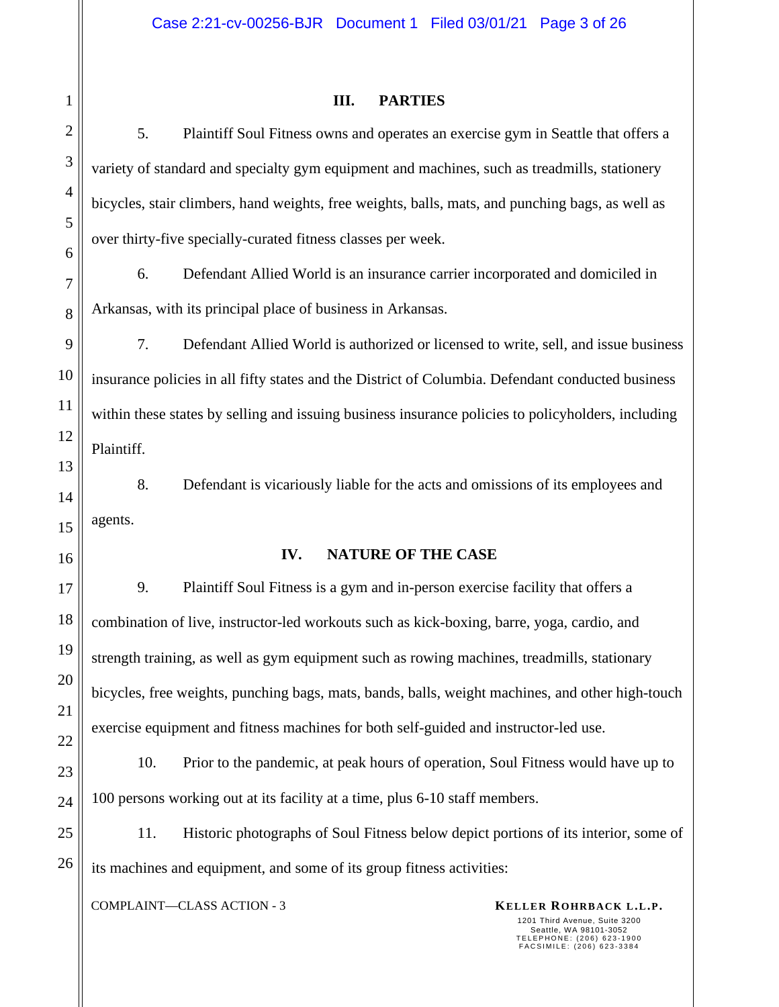### **III. PARTIES**

5. Plaintiff Soul Fitness owns and operates an exercise gym in Seattle that offers a variety of standard and specialty gym equipment and machines, such as treadmills, stationery bicycles, stair climbers, hand weights, free weights, balls, mats, and punching bags, as well as over thirty-five specially-curated fitness classes per week.

6. Defendant Allied World is an insurance carrier incorporated and domiciled in Arkansas, with its principal place of business in Arkansas.

7. Defendant Allied World is authorized or licensed to write, sell, and issue business insurance policies in all fifty states and the District of Columbia. Defendant conducted business within these states by selling and issuing business insurance policies to policyholders, including Plaintiff.

8. Defendant is vicariously liable for the acts and omissions of its employees and agents.

### **IV. NATURE OF THE CASE**

9. Plaintiff Soul Fitness is a gym and in-person exercise facility that offers a combination of live, instructor-led workouts such as kick-boxing, barre, yoga, cardio, and strength training, as well as gym equipment such as rowing machines, treadmills, stationary bicycles, free weights, punching bags, mats, bands, balls, weight machines, and other high-touch exercise equipment and fitness machines for both self-guided and instructor-led use.

10. Prior to the pandemic, at peak hours of operation, Soul Fitness would have up to 100 persons working out at its facility at a time, plus 6-10 staff members.

11. Historic photographs of Soul Fitness below depict portions of its interior, some of its machines and equipment, and some of its group fitness activities:

**COMPLAINT—CLASS ACTION - 3 KELLER ROHRBACK L.L.P.**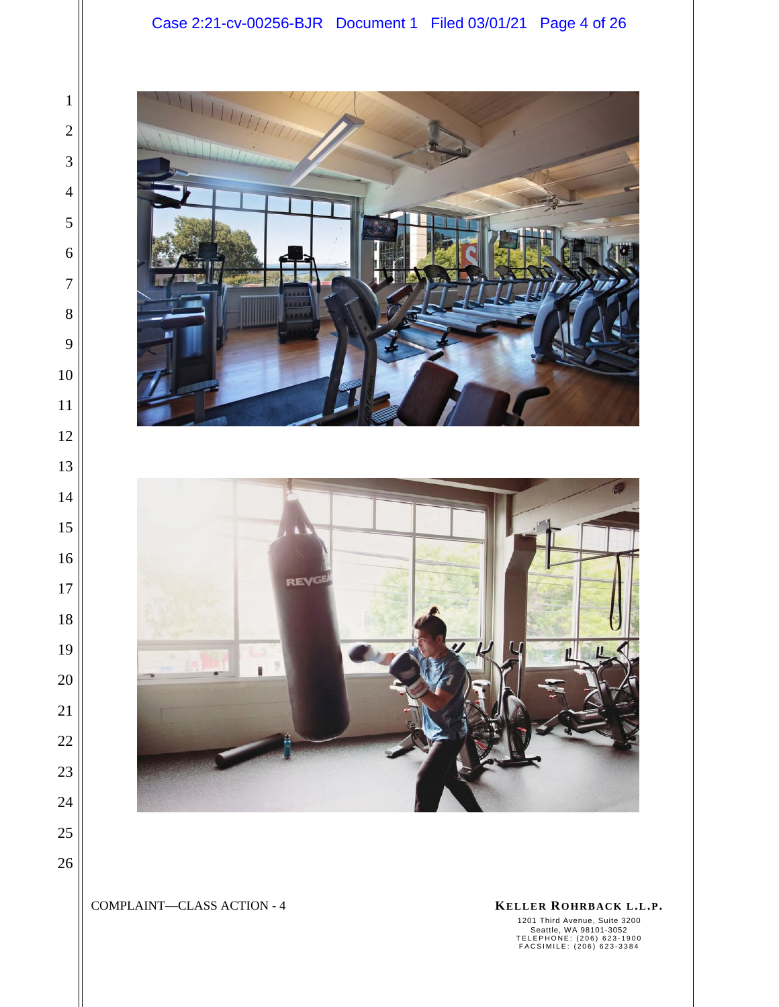# Case 2:21-cv-00256-BJR Document 1 Filed 03/01/21 Page 4 of 26





**COMPLAINT—CLASS ACTION - 4 KELLER ROHRBACK L.L.P.** 

1201 Third Avenue, Suite 3200 Seattle, WA 98101-3052 T E L E P H O N E : ( 2 0 6 ) 6 2 3 - 1 9 0 0 F A C S I M I L E : ( 2 0 6 ) 6 2 3 - 3 3 8 4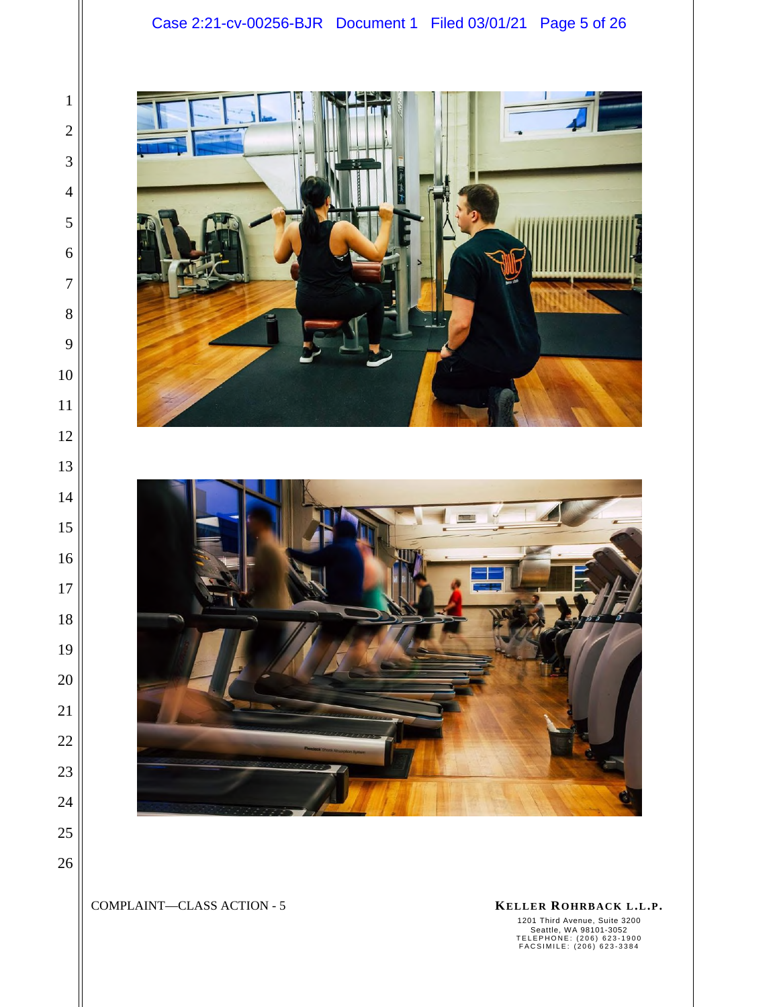# Case 2:21-cv-00256-BJR Document 1 Filed 03/01/21 Page 5 of 26





**COMPLAINT—CLASS ACTION - 5 KELLER ROHRBACK L.L.P.** 

1201 Third Avenue, Suite 3200 Seattle, WA 98101-3052 T E L E P H O N E : ( 2 0 6 ) 6 2 3 - 1 9 0 0 F A C S I M I L E : ( 2 0 6 ) 6 2 3 - 3 3 8 4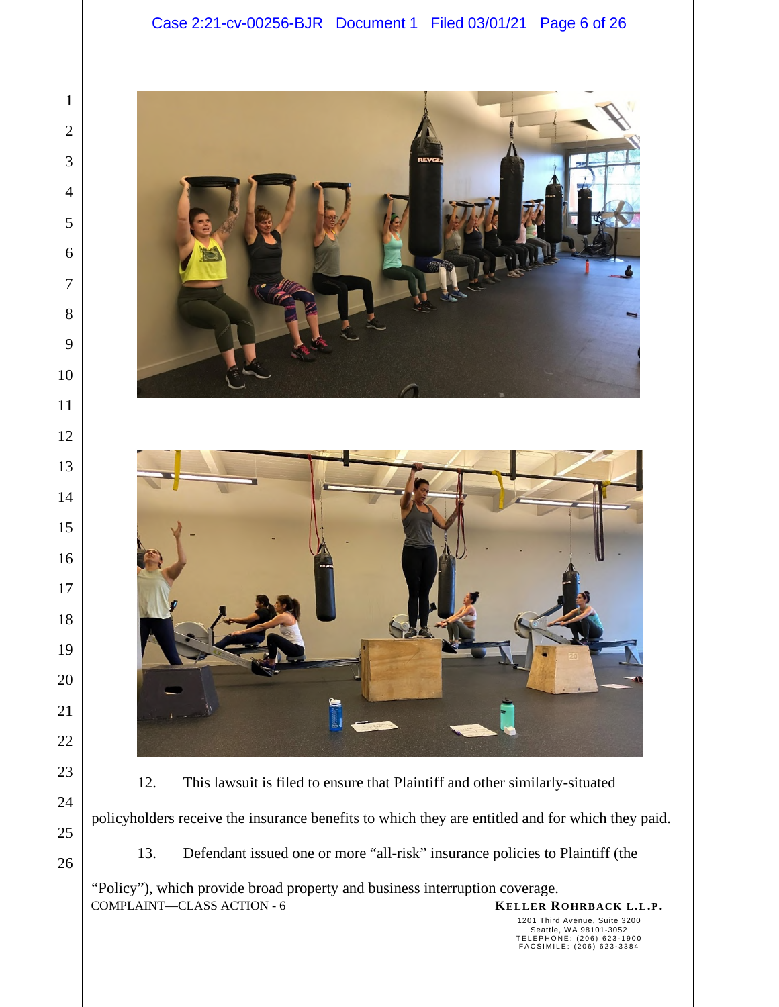

12. This lawsuit is filed to ensure that Plaintiff and other similarly-situated

policyholders receive the insurance benefits to which they are entitled and for which they paid.

13. Defendant issued one or more "all-risk" insurance policies to Plaintiff (the

**COMPLAINT—CLASS ACTION - 6 KELLER ROHRBACK L.L.P.** "Policy"), which provide broad property and business interruption coverage.

1201 Third Avenue, Suite 3200 Seattle, WA 98101-3052 T E L E P H O N E : ( 2 0 6 ) 6 2 3 - 1 9 0 0 F A C S I M I L E : ( 2 0 6 ) 6 2 3 - 3 3 8 4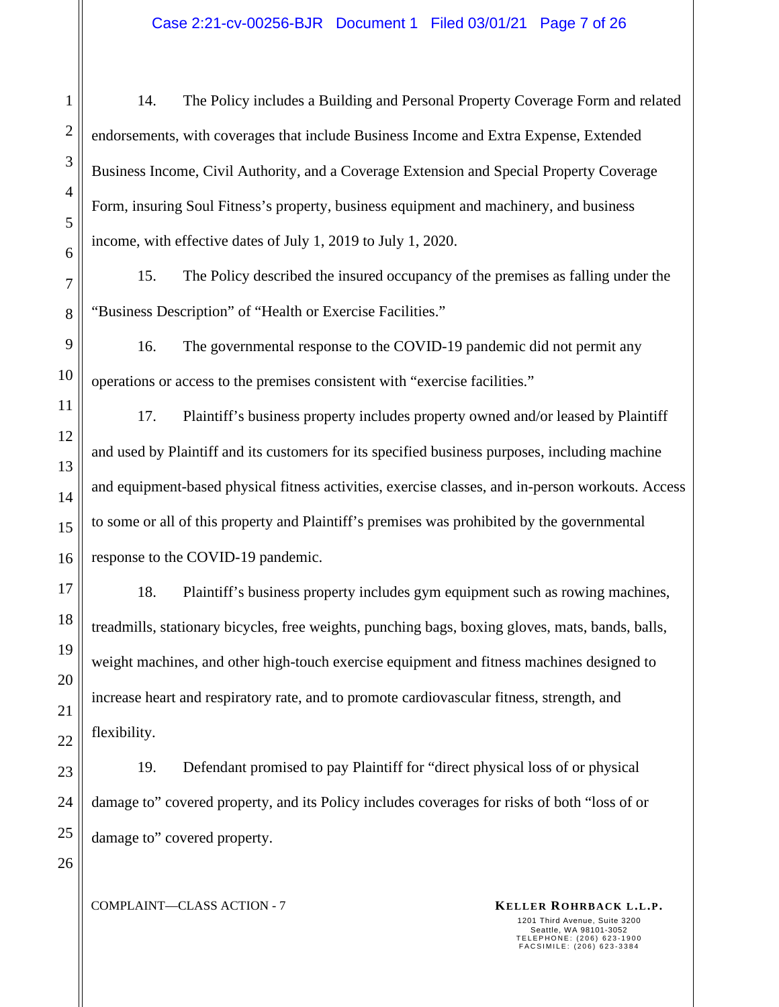14. The Policy includes a Building and Personal Property Coverage Form and related endorsements, with coverages that include Business Income and Extra Expense, Extended Business Income, Civil Authority, and a Coverage Extension and Special Property Coverage Form, insuring Soul Fitness's property, business equipment and machinery, and business income, with effective dates of July 1, 2019 to July 1, 2020.

15. The Policy described the insured occupancy of the premises as falling under the "Business Description" of "Health or Exercise Facilities."

16. The governmental response to the COVID-19 pandemic did not permit any operations or access to the premises consistent with "exercise facilities."

17. Plaintiff's business property includes property owned and/or leased by Plaintiff and used by Plaintiff and its customers for its specified business purposes, including machine and equipment-based physical fitness activities, exercise classes, and in-person workouts. Access to some or all of this property and Plaintiff's premises was prohibited by the governmental response to the COVID-19 pandemic.

18. Plaintiff's business property includes gym equipment such as rowing machines, treadmills, stationary bicycles, free weights, punching bags, boxing gloves, mats, bands, balls, weight machines, and other high-touch exercise equipment and fitness machines designed to increase heart and respiratory rate, and to promote cardiovascular fitness, strength, and flexibility.

19. Defendant promised to pay Plaintiff for "direct physical loss of or physical damage to" covered property, and its Policy includes coverages for risks of both "loss of or damage to" covered property.

**COMPLAINT—CLASS ACTION - 7 KELLER ROHRBACK L.L.P.**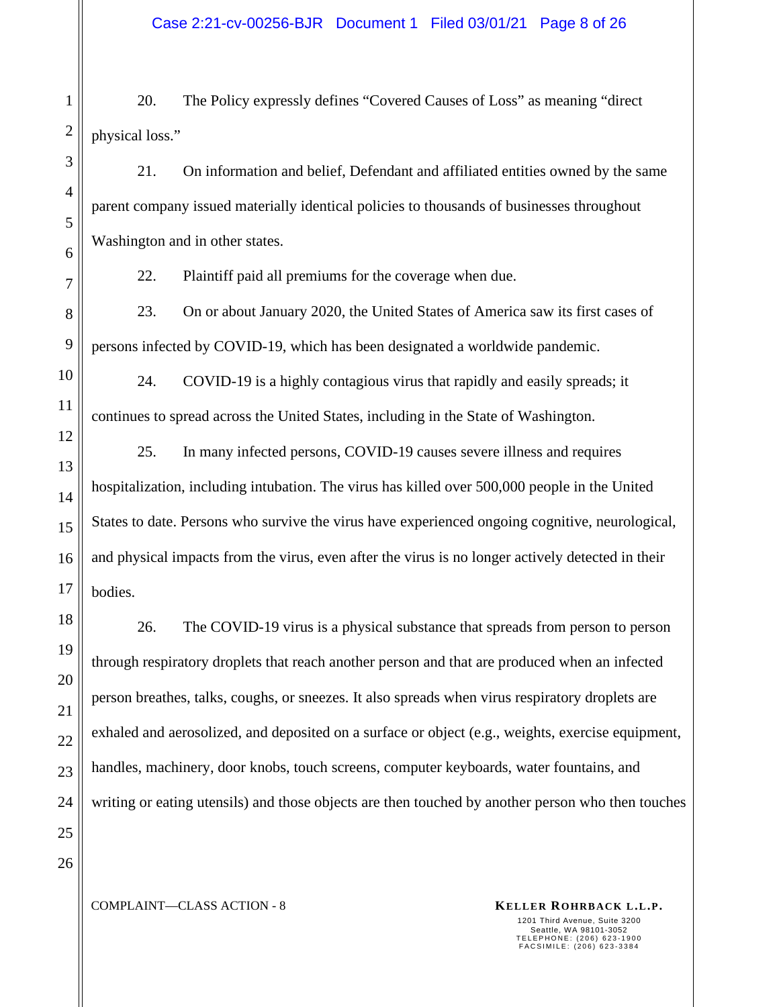20. The Policy expressly defines "Covered Causes of Loss" as meaning "direct physical loss."

21. On information and belief, Defendant and affiliated entities owned by the same parent company issued materially identical policies to thousands of businesses throughout Washington and in other states.

22. Plaintiff paid all premiums for the coverage when due.

23. On or about January 2020, the United States of America saw its first cases of persons infected by COVID-19, which has been designated a worldwide pandemic.

24. COVID-19 is a highly contagious virus that rapidly and easily spreads; it continues to spread across the United States, including in the State of Washington.

25. In many infected persons, COVID-19 causes severe illness and requires hospitalization, including intubation. The virus has killed over 500,000 people in the United States to date. Persons who survive the virus have experienced ongoing cognitive, neurological, and physical impacts from the virus, even after the virus is no longer actively detected in their bodies.

26. The COVID-19 virus is a physical substance that spreads from person to person through respiratory droplets that reach another person and that are produced when an infected person breathes, talks, coughs, or sneezes. It also spreads when virus respiratory droplets are exhaled and aerosolized, and deposited on a surface or object (e.g., weights, exercise equipment, handles, machinery, door knobs, touch screens, computer keyboards, water fountains, and writing or eating utensils) and those objects are then touched by another person who then touches

24 25 26

1

2

3

4

5

6

7

8

9

10

11

12

13

14

15

16

17

18

19

20

21

22

23

**COMPLAINT—CLASS ACTION - 8 KELLER ROHRBACK L.L.P.**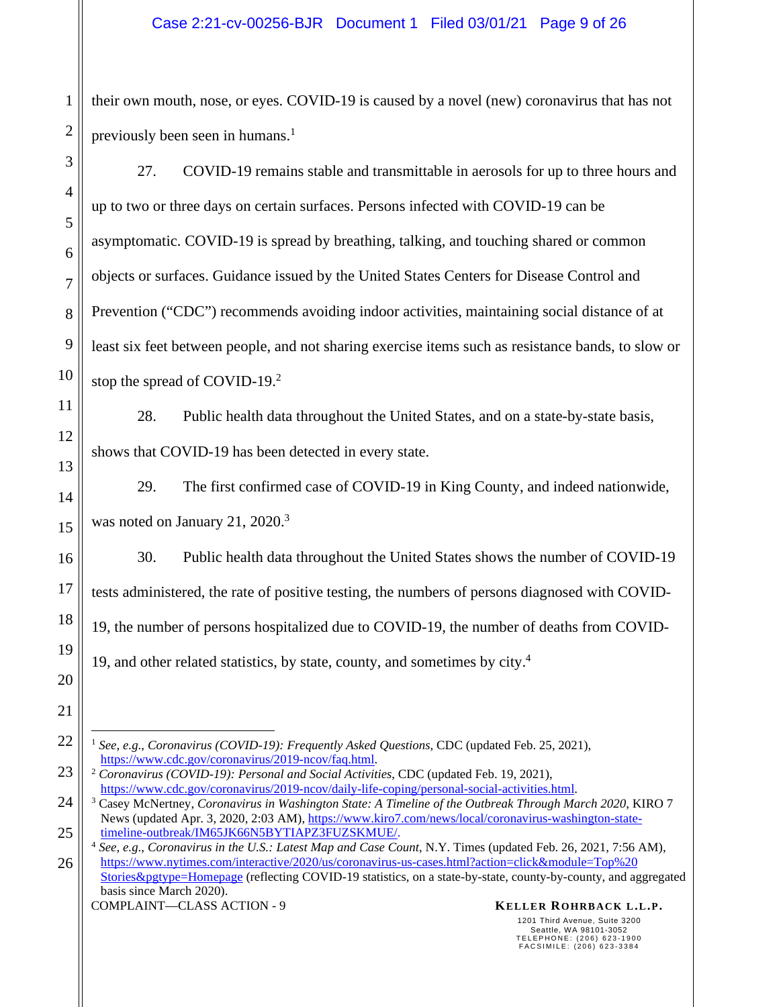their own mouth, nose, or eyes. COVID-19 is caused by a novel (new) coronavirus that has not previously been seen in humans.<sup>1</sup>

27. COVID-19 remains stable and transmittable in aerosols for up to three hours and up to two or three days on certain surfaces. Persons infected with COVID-19 can be asymptomatic. COVID-19 is spread by breathing, talking, and touching shared or common objects or surfaces. Guidance issued by the United States Centers for Disease Control and Prevention ("CDC") recommends avoiding indoor activities, maintaining social distance of at least six feet between people, and not sharing exercise items such as resistance bands, to slow or stop the spread of COVID-19.<sup>2</sup>

28. Public health data throughout the United States, and on a state-by-state basis, shows that COVID-19 has been detected in every state.

29. The first confirmed case of COVID-19 in King County, and indeed nationwide, was noted on January 21, 2020.<sup>3</sup>

30. Public health data throughout the United States shows the number of COVID-19 tests administered, the rate of positive testing, the numbers of persons diagnosed with COVID-19, the number of persons hospitalized due to COVID-19, the number of deaths from COVID-19, and other related statistics, by state, county, and sometimes by city.<sup>4</sup>

<sup>2</sup> *Coronavirus (COVID-19): Personal and Social Activities*, CDC (updated Feb. 19, 2021), https://www.cdc.gov/coronavirus/2019-ncov/daily-life-coping/personal-social-activities.html.

1201 Third Avenue, Suite 3200 Seattle, WA 98101-3052

TELEPHONE: (206) 623-1900<br>FACSIMILE: (206) 623-3384

1

<sup>1</sup> *See, e.g*., *Coronavirus (COVID-19): Frequently Asked Questions*, CDC (updated Feb. 25, 2021), https://www.cdc.gov/coronavirus/2019-ncov/faq.html.

<sup>3</sup> Casey McNertney, *Coronavirus in Washington State: A Timeline of the Outbreak Through March 2020*, KIRO 7 News (updated Apr. 3, 2020, 2:03 AM), https://www.kiro7.com/news/local/coronavirus-washington-statetimeline-outbreak/IM65JK66N5BYTIAPZ3FUZSKMUE/.

**COMPLAINT—CLASS ACTION - 9 KELLER ROHRBACK L.L.P.** <sup>4</sup> *See, e.g*., *Coronavirus in the U.S.: Latest Map and Case Count*, N.Y. Times (updated Feb. 26, 2021, 7:56 AM), https://www.nytimes.com/interactive/2020/us/coronavirus-us-cases.html?action=click&module=Top%20 Stories&pgtype=Homepage (reflecting COVID-19 statistics, on a state-by-state, county-by-county, and aggregated basis since March 2020).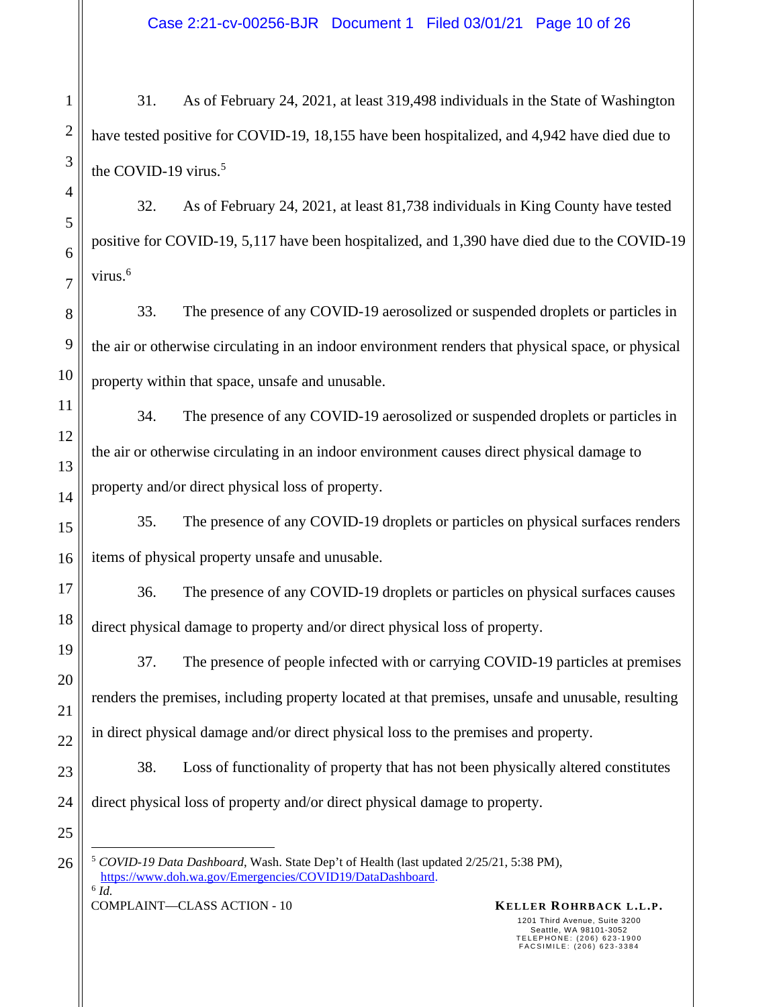31. As of February 24, 2021, at least 319,498 individuals in the State of Washington have tested positive for COVID-19, 18,155 have been hospitalized, and 4,942 have died due to the COVID-19 virus. $5$ 

32. As of February 24, 2021, at least 81,738 individuals in King County have tested positive for COVID-19, 5,117 have been hospitalized, and 1,390 have died due to the COVID-19 virus.<sup>6</sup>

33. The presence of any COVID-19 aerosolized or suspended droplets or particles in the air or otherwise circulating in an indoor environment renders that physical space, or physical property within that space, unsafe and unusable.

34. The presence of any COVID-19 aerosolized or suspended droplets or particles in the air or otherwise circulating in an indoor environment causes direct physical damage to property and/or direct physical loss of property.

35. The presence of any COVID-19 droplets or particles on physical surfaces renders items of physical property unsafe and unusable.

36. The presence of any COVID-19 droplets or particles on physical surfaces causes direct physical damage to property and/or direct physical loss of property.

37. The presence of people infected with or carrying COVID-19 particles at premises renders the premises, including property located at that premises, unsafe and unusable, resulting in direct physical damage and/or direct physical loss to the premises and property.

38. Loss of functionality of property that has not been physically altered constitutes direct physical loss of property and/or direct physical damage to property.

**COMPLAINT—CLASS ACTION - 10 KELLER ROHRBACK L.L.P.** 

<sup>5</sup> *COVID-19 Data Dashboard*, Wash. State Dep't of Health (last updated 2/25/21, 5:38 PM), https://www.doh.wa.gov/Emergencies/COVID19/DataDashboard. 6 *Id.*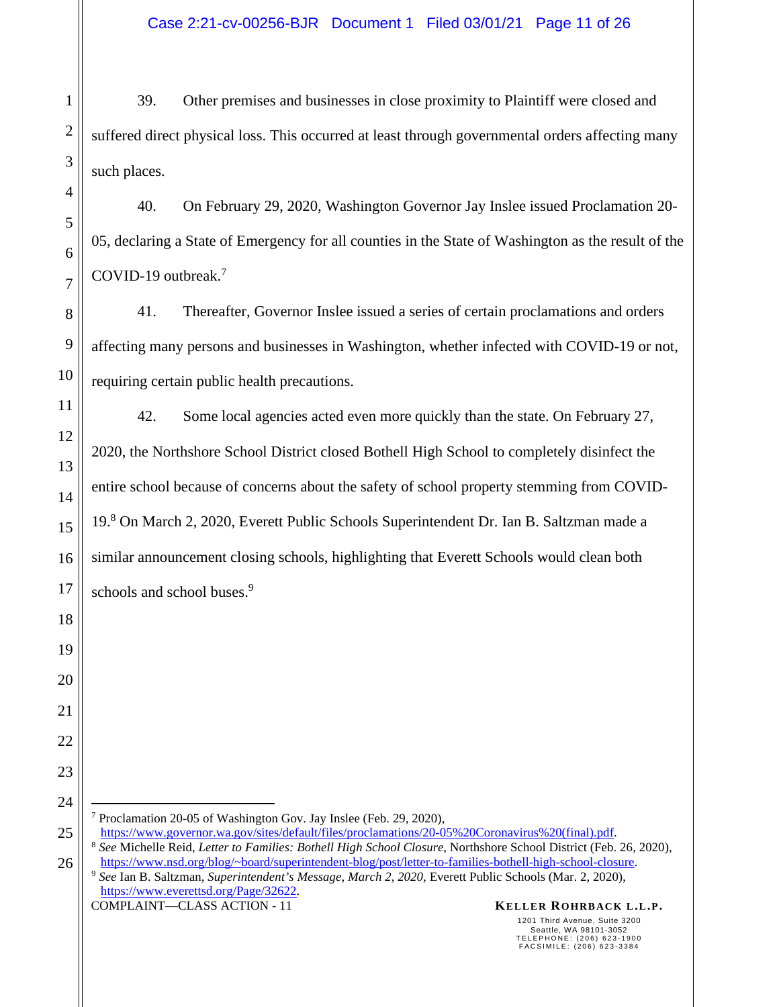39. Other premises and businesses in close proximity to Plaintiff were closed and suffered direct physical loss. This occurred at least through governmental orders affecting many such places.

40. On February 29, 2020, Washington Governor Jay Inslee issued Proclamation 20- 05, declaring a State of Emergency for all counties in the State of Washington as the result of the COVID-19 outbreak.<sup>7</sup>

41. Thereafter, Governor Inslee issued a series of certain proclamations and orders affecting many persons and businesses in Washington, whether infected with COVID-19 or not, requiring certain public health precautions.

42. Some local agencies acted even more quickly than the state. On February 27, 2020, the Northshore School District closed Bothell High School to completely disinfect the entire school because of concerns about the safety of school property stemming from COVID-19.<sup>8</sup> On March 2, 2020, Everett Public Schools Superintendent Dr. Ian B. Saltzman made a similar announcement closing schools, highlighting that Everett Schools would clean both schools and school buses.<sup>9</sup>

**COMPLAINT—CLASS ACTION - 11 KELLER ROHRBACK L.L.P.** 

1201 Third Avenue, Suite 3200 Seattle, WA 98101-3052 TELEPHONE: (206) 623-1900<br>FACSIMILE: (206) 623-3384

26

<sup>7</sup> Proclamation 20-05 of Washington Gov. Jay Inslee (Feb. 29, 2020),

https://www.governor.wa.gov/sites/default/files/proclamations/20-05%20Coronavirus%20(final).pdf. <sup>8</sup> *See* Michelle Reid, *Letter to Families: Bothell High School Closure*, Northshore School District (Feb. 26, 2020), https://www.nsd.org/blog/~board/superintendent-blog/post/letter-to-families-bothell-high-school-closure.

<sup>9</sup> *See* Ian B. Saltzman, *Superintendent's Message, March 2, 2020*, Everett Public Schools (Mar. 2, 2020), https://www.everettsd.org/Page/32622.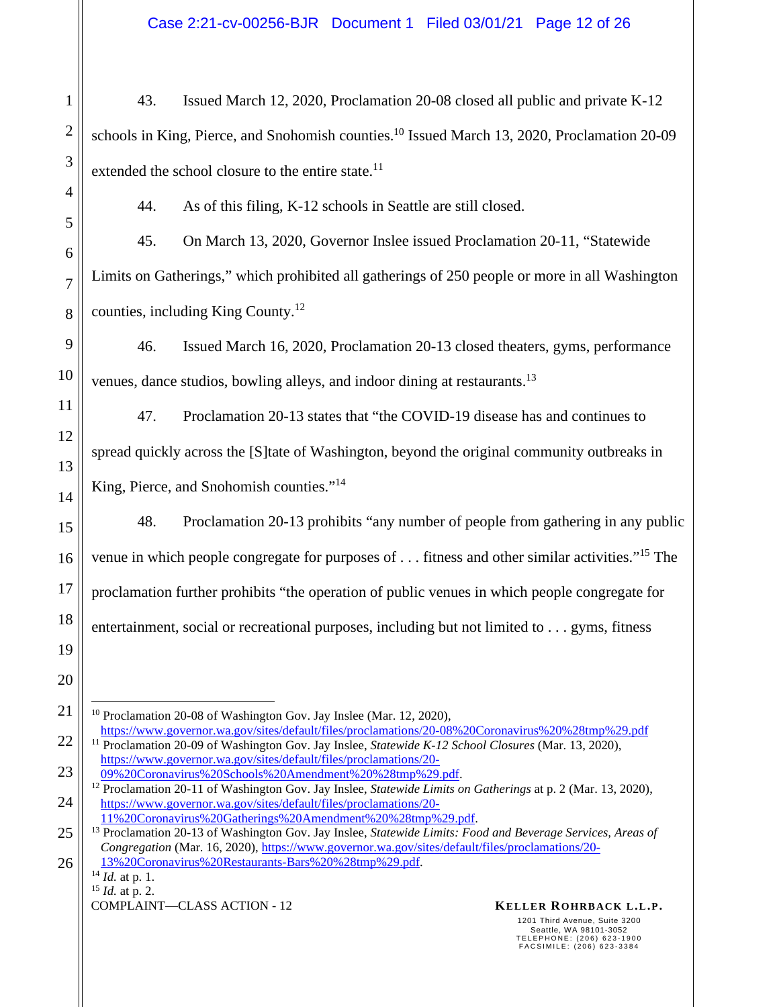# Case 2:21-cv-00256-BJR Document 1 Filed 03/01/21 Page 12 of 26

43. Issued March 12, 2020, Proclamation 20-08 closed all public and private K-12 schools in King, Pierce, and Snohomish counties.<sup>10</sup> Issued March 13, 2020, Proclamation 20-09 extended the school closure to the entire state. $^{11}$ 

44. As of this filing, K-12 schools in Seattle are still closed.

45. On March 13, 2020, Governor Inslee issued Proclamation 20-11, "Statewide Limits on Gatherings," which prohibited all gatherings of 250 people or more in all Washington counties, including King County.<sup>12</sup>

46. Issued March 16, 2020, Proclamation 20-13 closed theaters, gyms, performance venues, dance studios, bowling alleys, and indoor dining at restaurants.<sup>13</sup>

47. Proclamation 20-13 states that "the COVID-19 disease has and continues to spread quickly across the [S]tate of Washington, beyond the original community outbreaks in King, Pierce, and Snohomish counties."<sup>14</sup>

48. Proclamation 20-13 prohibits "any number of people from gathering in any public venue in which people congregate for purposes of . . . fitness and other similar activities."<sup>15</sup> The proclamation further prohibits "the operation of public venues in which people congregate for entertainment, social or recreational purposes, including but not limited to . . . gyms, fitness

<sup>10</sup> Proclamation 20-08 of Washington Gov. Jay Inslee (Mar. 12, 2020), https://www.governor.wa.gov/sites/default/files/proclamations/20-08%20Coronavirus%20%28tmp%29.pdf <sup>11</sup> Proclamation 20-09 of Washington Gov. Jay Inslee, *Statewide K-12 School Closures* (Mar. 13, 2020), https://www.governor.wa.gov/sites/default/files/proclamations/20- 09%20Coronavirus%20Schools%20Amendment%20%28tmp%29.pdf.

<sup>12</sup> Proclamation 20-11 of Washington Gov. Jay Inslee, *Statewide Limits on Gatherings* at p. 2 (Mar. 13, 2020), https://www.governor.wa.gov/sites/default/files/proclamations/20-

11%20Coronavirus%20Gatherings%20Amendment%20%28tmp%29.pdf. <sup>13</sup> Proclamation 20-13 of Washington Gov. Jay Inslee, *Statewide Limits: Food and Beverage Services, Areas of Congregation* (Mar. 16, 2020), https://www.governor.wa.gov/sites/default/files/proclamations/20- 13%20Coronavirus%20Restaurants-Bars%20%28tmp%29.pdf.

**COMPLAINT—CLASS ACTION - 12 KELLER ROHRBACK L.L.P.** 

<sup>14</sup> *Id.* at p. 1.

<sup>15</sup> *Id.* at p. 2.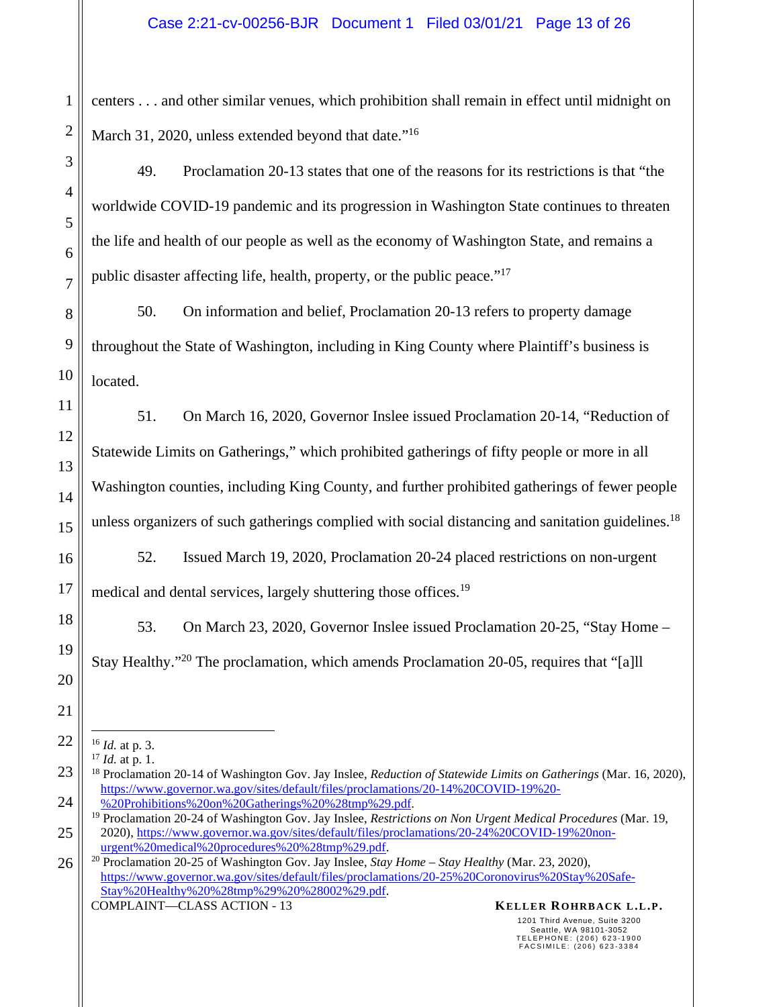centers . . . and other similar venues, which prohibition shall remain in effect until midnight on March 31, 2020, unless extended beyond that date."<sup>16</sup>

49. Proclamation 20-13 states that one of the reasons for its restrictions is that "the worldwide COVID-19 pandemic and its progression in Washington State continues to threaten the life and health of our people as well as the economy of Washington State, and remains a public disaster affecting life, health, property, or the public peace."<sup>17</sup>

50. On information and belief, Proclamation 20-13 refers to property damage throughout the State of Washington, including in King County where Plaintiff's business is located.

51. On March 16, 2020, Governor Inslee issued Proclamation 20-14, "Reduction of Statewide Limits on Gatherings," which prohibited gatherings of fifty people or more in all Washington counties, including King County, and further prohibited gatherings of fewer people unless organizers of such gatherings complied with social distancing and sanitation guidelines.<sup>18</sup>

52. Issued March 19, 2020, Proclamation 20-24 placed restrictions on non-urgent medical and dental services, largely shuttering those offices.<sup>19</sup>

53. On March 23, 2020, Governor Inslee issued Proclamation 20-25, "Stay Home – Stay Healthy."<sup>20</sup> The proclamation, which amends Proclamation 20-05, requires that "[a]ll

<sup>16</sup> *Id.* at p. 3.

<sup>17</sup> *Id.* at p. 1.

<sup>18</sup> Proclamation 20-14 of Washington Gov. Jay Inslee, *Reduction of Statewide Limits on Gatherings* (Mar. 16, 2020), https://www.governor.wa.gov/sites/default/files/proclamations/20-14%20COVID-19%20- %20Prohibitions%20on%20Gatherings%20%28tmp%29.pdf.

<sup>19</sup> Proclamation 20-24 of Washington Gov. Jay Inslee, *Restrictions on Non Urgent Medical Procedures* (Mar. 19, 2020), https://www.governor.wa.gov/sites/default/files/proclamations/20-24%20COVID-19%20nonurgent%20medical%20procedures%20%28tmp%29.pdf.

**COMPLAINT—CLASS ACTION - 13 KELLER ROHRBACK L.L.P.** 26 <sup>20</sup> Proclamation 20-25 of Washington Gov. Jay Inslee, *Stay Home – Stay Healthy* (Mar. 23, 2020), https://www.governor.wa.gov/sites/default/files/proclamations/20-25%20Coronovirus%20Stay%20Safe-Stay%20Healthy%20%28tmp%29%20%28002%29.pdf.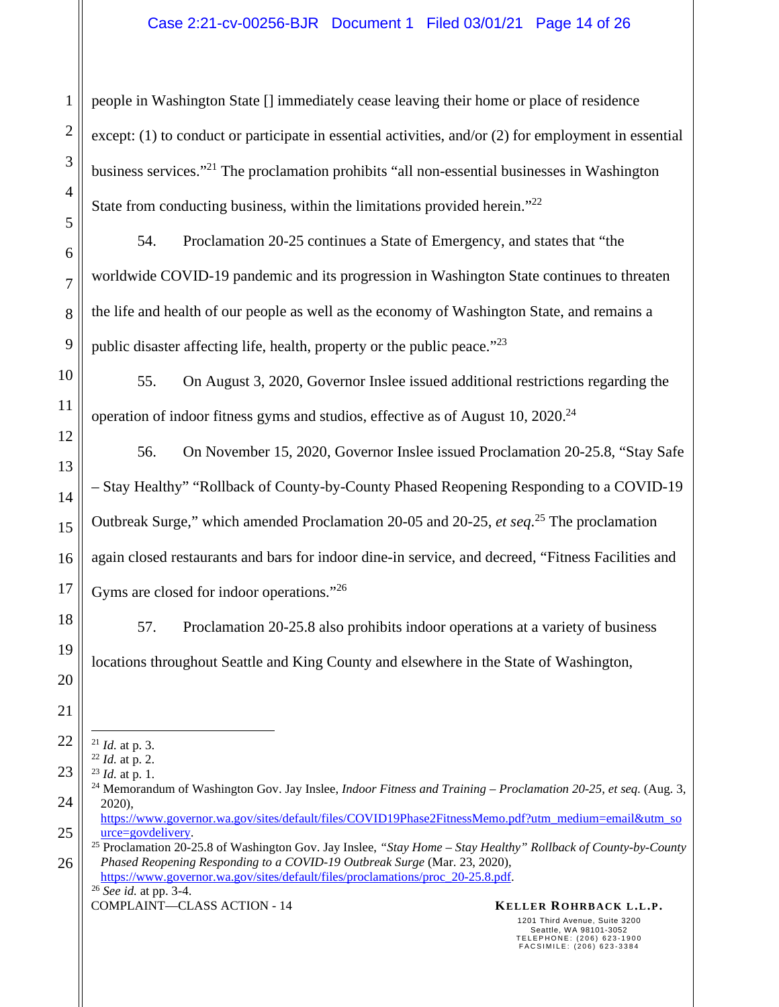### Case 2:21-cv-00256-BJR Document 1 Filed 03/01/21 Page 14 of 26

people in Washington State [] immediately cease leaving their home or place of residence except: (1) to conduct or participate in essential activities, and/or (2) for employment in essential business services."<sup>21</sup> The proclamation prohibits "all non-essential businesses in Washington State from conducting business, within the limitations provided herein."<sup>22</sup>

54. Proclamation 20-25 continues a State of Emergency, and states that "the worldwide COVID-19 pandemic and its progression in Washington State continues to threaten the life and health of our people as well as the economy of Washington State, and remains a public disaster affecting life, health, property or the public peace."<sup>23</sup>

55. On August 3, 2020, Governor Inslee issued additional restrictions regarding the operation of indoor fitness gyms and studios, effective as of August 10, 2020.<sup>24</sup>

56. On November 15, 2020, Governor Inslee issued Proclamation 20-25.8, "Stay Safe *–* Stay Healthy" "Rollback of County-by-County Phased Reopening Responding to a COVID-19 Outbreak Surge," which amended Proclamation 20-05 and 20-25, *et seq*. <sup>25</sup> The proclamation again closed restaurants and bars for indoor dine-in service, and decreed, "Fitness Facilities and Gyms are closed for indoor operations."<sup>26</sup>

57. Proclamation 20-25.8 also prohibits indoor operations at a variety of business locations throughout Seattle and King County and elsewhere in the State of Washington,

<sup>21</sup> *Id.* at p. 3.

1

2

3

4

5

6

7

8

9

10

11

12

13

14

15

16

17

18

19

20

21

22

23

24

25

26

<sup>23</sup> *Id.* at p. 1.

<sup>22</sup> *Id.* at p. 2.

<sup>24</sup> Memorandum of Washington Gov. Jay Inslee, *Indoor Fitness and Training – Proclamation 20-25, et seq.* (Aug. 3, 2020),

https://www.governor.wa.gov/sites/default/files/COVID19Phase2FitnessMemo.pdf?utm\_medium=email&utm\_so urce=govdelivery.

<sup>25</sup> Proclamation 20-25.8 of Washington Gov. Jay Inslee, *"Stay Home – Stay Healthy" Rollback of County-by-County Phased Reopening Responding to a COVID-19 Outbreak Surge* (Mar. 23, 2020), https://www.governor.wa.gov/sites/default/files/proclamations/proc\_20-25.8.pdf.

<sup>26</sup> *See id.* at pp. 3-4.

**COMPLAINT—CLASS ACTION - 14 KELLER ROHRBACK L.L.P.**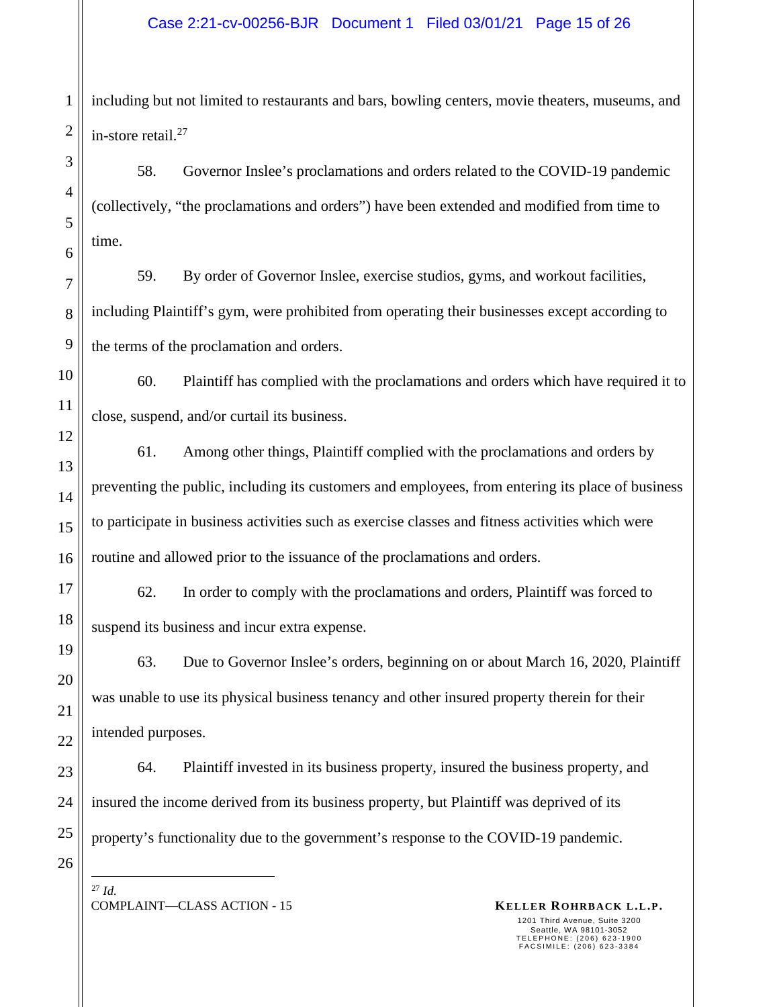### Case 2:21-cv-00256-BJR Document 1 Filed 03/01/21 Page 15 of 26

including but not limited to restaurants and bars, bowling centers, movie theaters, museums, and in-store retail. $27$ 

58. Governor Inslee's proclamations and orders related to the COVID-19 pandemic (collectively, "the proclamations and orders") have been extended and modified from time to time.

59. By order of Governor Inslee, exercise studios, gyms, and workout facilities, including Plaintiff's gym, were prohibited from operating their businesses except according to the terms of the proclamation and orders.

60. Plaintiff has complied with the proclamations and orders which have required it to close, suspend, and/or curtail its business.

61. Among other things, Plaintiff complied with the proclamations and orders by preventing the public, including its customers and employees, from entering its place of business to participate in business activities such as exercise classes and fitness activities which were routine and allowed prior to the issuance of the proclamations and orders.

62. In order to comply with the proclamations and orders, Plaintiff was forced to suspend its business and incur extra expense.

63. Due to Governor Inslee's orders, beginning on or about March 16, 2020, Plaintiff was unable to use its physical business tenancy and other insured property therein for their intended purposes.

64. Plaintiff invested in its business property, insured the business property, and insured the income derived from its business property, but Plaintiff was deprived of its property's functionality due to the government's response to the COVID-19 pandemic.

**COMPLAINT—CLASS ACTION - 15 KELLER ROHRBACK L.L.P.** <sup>27</sup> *Id.*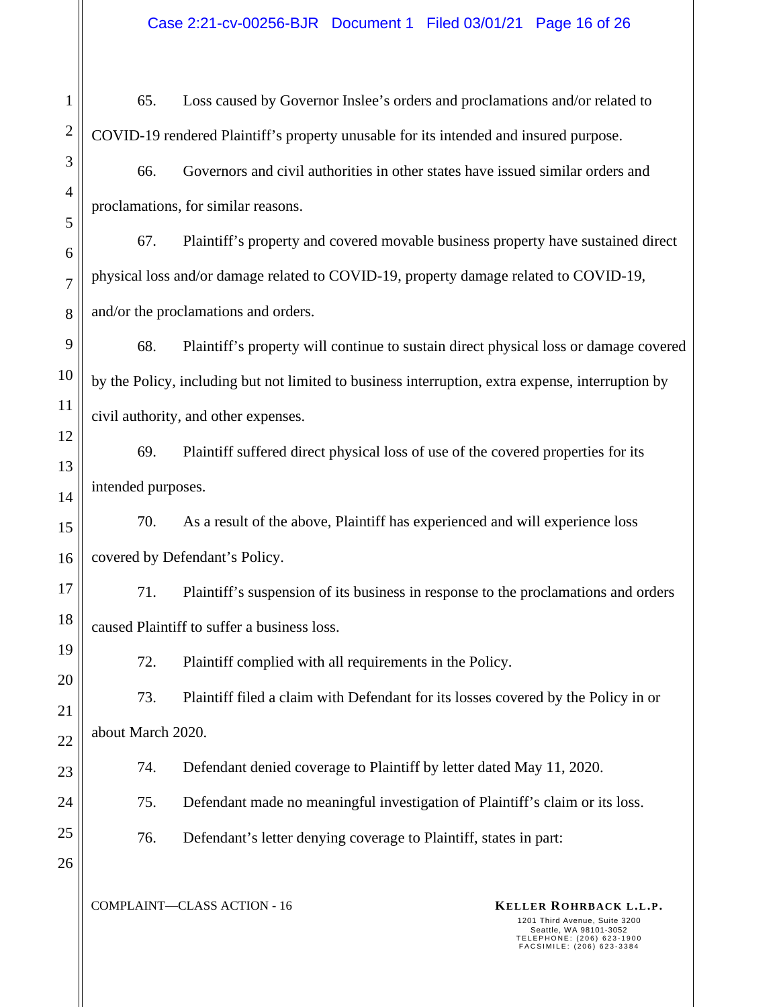65. Loss caused by Governor Inslee's orders and proclamations and/or related to COVID-19 rendered Plaintiff's property unusable for its intended and insured purpose.

66. Governors and civil authorities in other states have issued similar orders and proclamations, for similar reasons.

67. Plaintiff's property and covered movable business property have sustained direct physical loss and/or damage related to COVID-19, property damage related to COVID-19, and/or the proclamations and orders.

68. Plaintiff's property will continue to sustain direct physical loss or damage covered by the Policy, including but not limited to business interruption, extra expense, interruption by civil authority, and other expenses.

69. Plaintiff suffered direct physical loss of use of the covered properties for its intended purposes.

70. As a result of the above, Plaintiff has experienced and will experience loss covered by Defendant's Policy.

71. Plaintiff's suspension of its business in response to the proclamations and orders caused Plaintiff to suffer a business loss.

72. Plaintiff complied with all requirements in the Policy.

73. Plaintiff filed a claim with Defendant for its losses covered by the Policy in or about March 2020.

74. Defendant denied coverage to Plaintiff by letter dated May 11, 2020.

75. Defendant made no meaningful investigation of Plaintiff's claim or its loss.

76. Defendant's letter denying coverage to Plaintiff, states in part:

**COMPLAINT—CLASS ACTION - 16 KELLER ROHRBACK L.L.P.**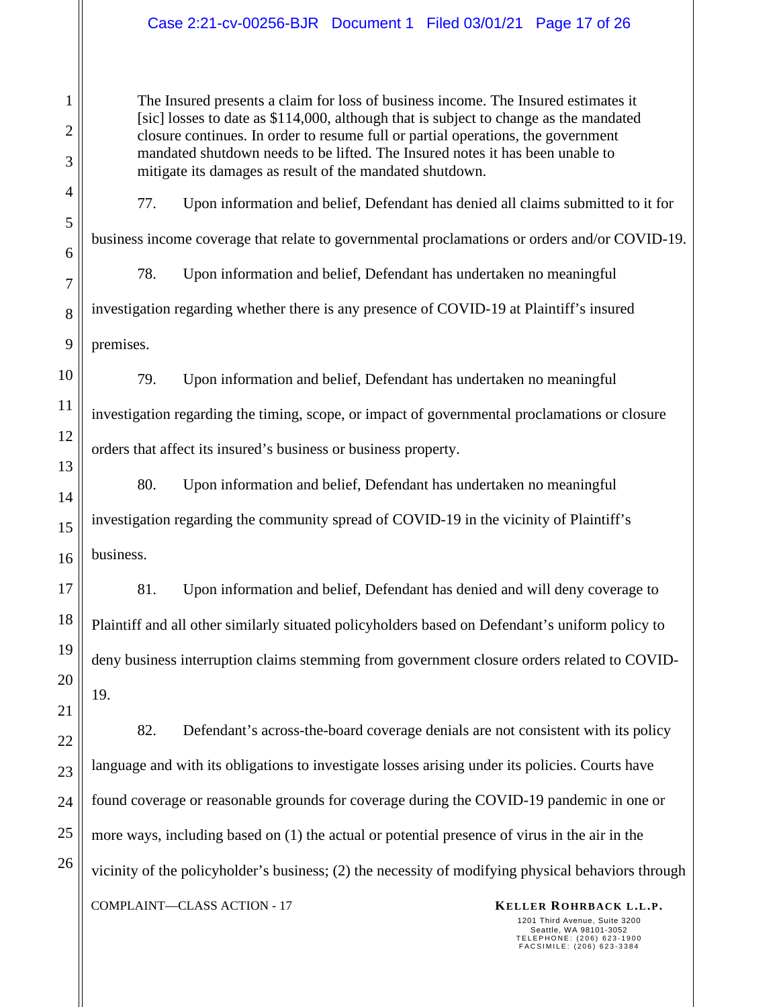### Case 2:21-cv-00256-BJR Document 1 Filed 03/01/21 Page 17 of 26

The Insured presents a claim for loss of business income. The Insured estimates it [sic] losses to date as \$114,000, although that is subject to change as the mandated closure continues. In order to resume full or partial operations, the government mandated shutdown needs to be lifted. The Insured notes it has been unable to mitigate its damages as result of the mandated shutdown.

77. Upon information and belief, Defendant has denied all claims submitted to it for business income coverage that relate to governmental proclamations or orders and/or COVID-19.

78. Upon information and belief, Defendant has undertaken no meaningful investigation regarding whether there is any presence of COVID-19 at Plaintiff's insured premises.

79. Upon information and belief, Defendant has undertaken no meaningful investigation regarding the timing, scope, or impact of governmental proclamations or closure orders that affect its insured's business or business property.

80. Upon information and belief, Defendant has undertaken no meaningful investigation regarding the community spread of COVID-19 in the vicinity of Plaintiff's business.

81. Upon information and belief, Defendant has denied and will deny coverage to Plaintiff and all other similarly situated policyholders based on Defendant's uniform policy to deny business interruption claims stemming from government closure orders related to COVID-19.

82. Defendant's across-the-board coverage denials are not consistent with its policy language and with its obligations to investigate losses arising under its policies. Courts have found coverage or reasonable grounds for coverage during the COVID-19 pandemic in one or more ways, including based on (1) the actual or potential presence of virus in the air in the vicinity of the policyholder's business; (2) the necessity of modifying physical behaviors through

**COMPLAINT—CLASS ACTION - 17 KELLER ROHRBACK L.L.P.**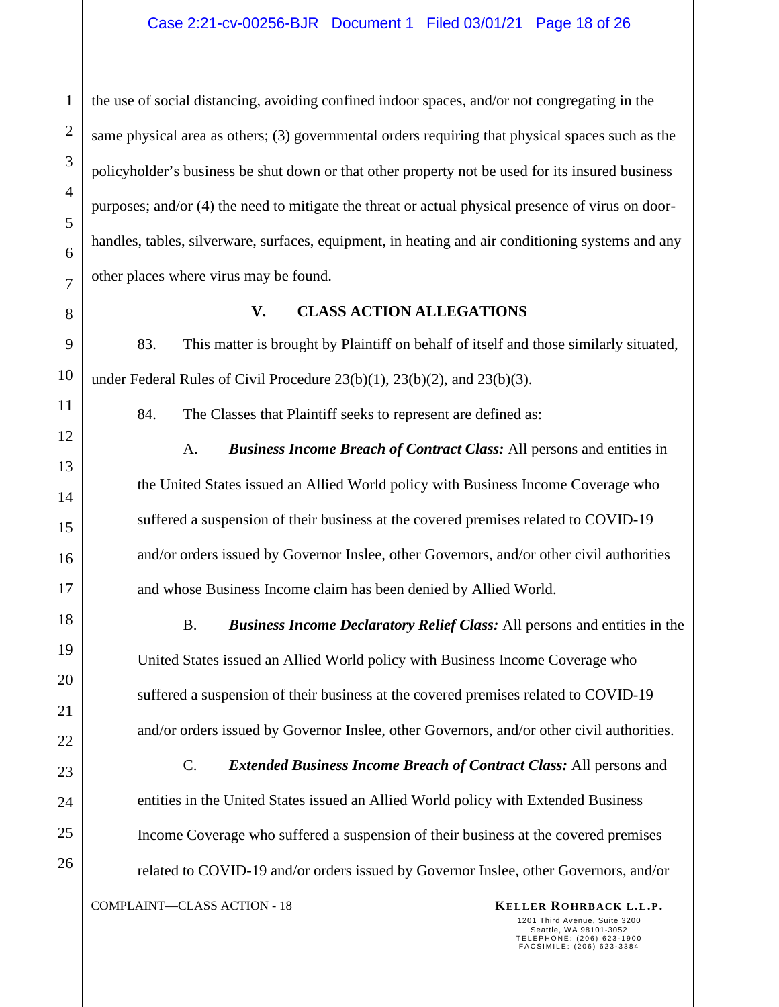the use of social distancing, avoiding confined indoor spaces, and/or not congregating in the same physical area as others; (3) governmental orders requiring that physical spaces such as the policyholder's business be shut down or that other property not be used for its insured business purposes; and/or (4) the need to mitigate the threat or actual physical presence of virus on doorhandles, tables, silverware, surfaces, equipment, in heating and air conditioning systems and any other places where virus may be found.

1

2

3

4

5

6

7

8

9

10

11

12

13

14

15

16

17

18

19

20

21

22

23

24

25

26

# **V. CLASS ACTION ALLEGATIONS**

83. This matter is brought by Plaintiff on behalf of itself and those similarly situated, under Federal Rules of Civil Procedure 23(b)(1), 23(b)(2), and 23(b)(3).

84. The Classes that Plaintiff seeks to represent are defined as:

A. *Business Income Breach of Contract Class:* All persons and entities in the United States issued an Allied World policy with Business Income Coverage who suffered a suspension of their business at the covered premises related to COVID-19 and/or orders issued by Governor Inslee, other Governors, and/or other civil authorities and whose Business Income claim has been denied by Allied World.

B. *Business Income Declaratory Relief Class:* All persons and entities in the United States issued an Allied World policy with Business Income Coverage who suffered a suspension of their business at the covered premises related to COVID-19 and/or orders issued by Governor Inslee, other Governors, and/or other civil authorities.

C. *Extended Business Income Breach of Contract Class:* All persons and entities in the United States issued an Allied World policy with Extended Business Income Coverage who suffered a suspension of their business at the covered premises related to COVID-19 and/or orders issued by Governor Inslee, other Governors, and/or

**COMPLAINT—CLASS ACTION - 18 KELLER ROHRBACK L.L.P.**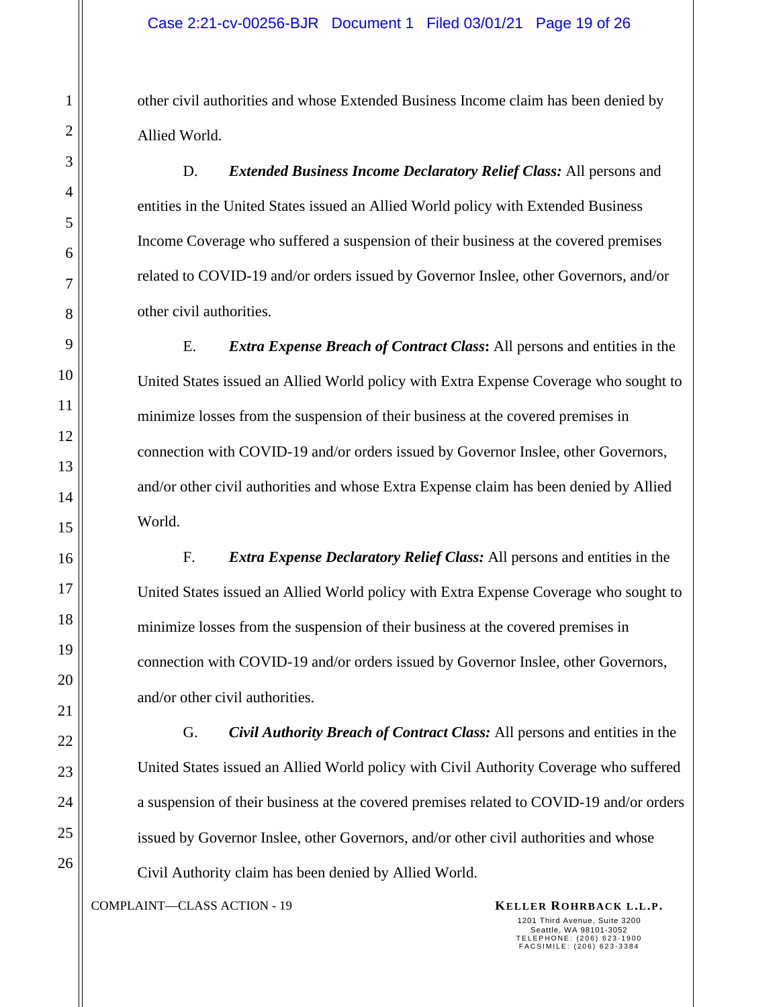other civil authorities and whose Extended Business Income claim has been denied by Allied World.

D. *Extended Business Income Declaratory Relief Class:* All persons and entities in the United States issued an Allied World policy with Extended Business Income Coverage who suffered a suspension of their business at the covered premises related to COVID-19 and/or orders issued by Governor Inslee, other Governors, and/or other civil authorities.

E. *Extra Expense Breach of Contract Class***:** All persons and entities in the United States issued an Allied World policy with Extra Expense Coverage who sought to minimize losses from the suspension of their business at the covered premises in connection with COVID-19 and/or orders issued by Governor Inslee, other Governors, and/or other civil authorities and whose Extra Expense claim has been denied by Allied World.

F. *Extra Expense Declaratory Relief Class:* All persons and entities in the United States issued an Allied World policy with Extra Expense Coverage who sought to minimize losses from the suspension of their business at the covered premises in connection with COVID-19 and/or orders issued by Governor Inslee, other Governors, and/or other civil authorities.

G. *Civil Authority Breach of Contract Class:* All persons and entities in the United States issued an Allied World policy with Civil Authority Coverage who suffered a suspension of their business at the covered premises related to COVID-19 and/or orders issued by Governor Inslee, other Governors, and/or other civil authorities and whose Civil Authority claim has been denied by Allied World.

**COMPLAINT—CLASS ACTION - 19 KELLER ROHRBACK L.L.P.**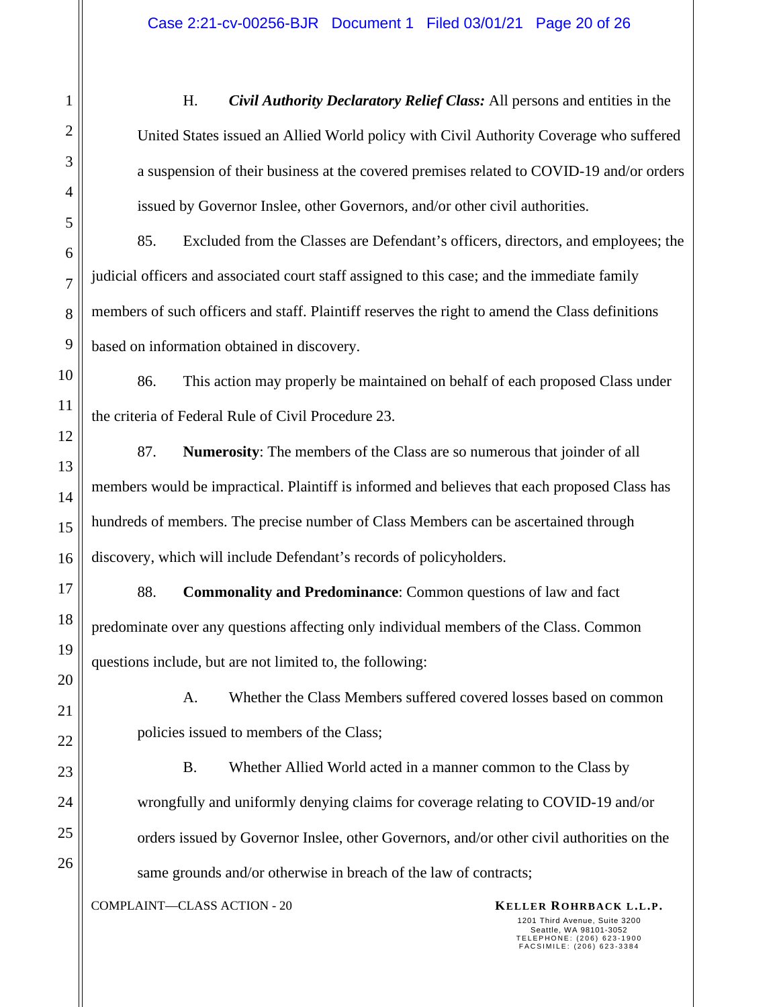H. *Civil Authority Declaratory Relief Class:* All persons and entities in the United States issued an Allied World policy with Civil Authority Coverage who suffered a suspension of their business at the covered premises related to COVID-19 and/or orders issued by Governor Inslee, other Governors, and/or other civil authorities.

85. Excluded from the Classes are Defendant's officers, directors, and employees; the judicial officers and associated court staff assigned to this case; and the immediate family members of such officers and staff. Plaintiff reserves the right to amend the Class definitions based on information obtained in discovery.

86. This action may properly be maintained on behalf of each proposed Class under the criteria of Federal Rule of Civil Procedure 23.

87. **Numerosity**: The members of the Class are so numerous that joinder of all members would be impractical. Plaintiff is informed and believes that each proposed Class has hundreds of members. The precise number of Class Members can be ascertained through discovery, which will include Defendant's records of policyholders.

88. **Commonality and Predominance**: Common questions of law and fact predominate over any questions affecting only individual members of the Class. Common questions include, but are not limited to, the following:

A. Whether the Class Members suffered covered losses based on common policies issued to members of the Class;

B. Whether Allied World acted in a manner common to the Class by wrongfully and uniformly denying claims for coverage relating to COVID-19 and/or orders issued by Governor Inslee, other Governors, and/or other civil authorities on the same grounds and/or otherwise in breach of the law of contracts;

**COMPLAINT—CLASS ACTION - 20 KELLER ROHRBACK L.L.P.**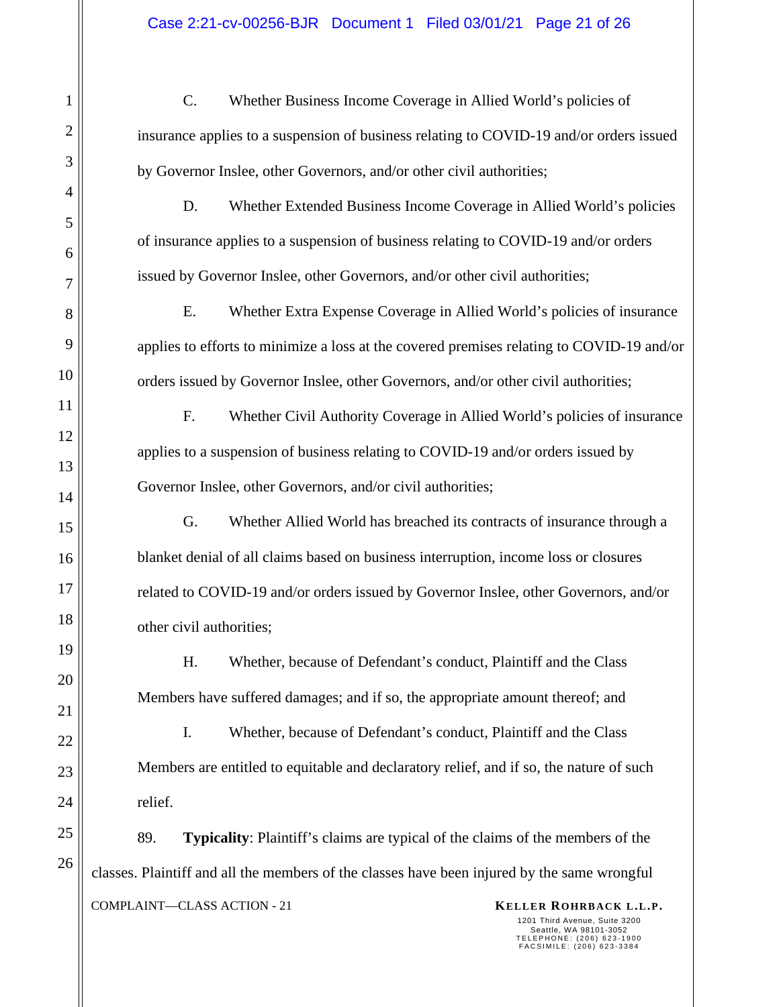C. Whether Business Income Coverage in Allied World's policies of insurance applies to a suspension of business relating to COVID-19 and/or orders issued by Governor Inslee, other Governors, and/or other civil authorities;

D. Whether Extended Business Income Coverage in Allied World's policies of insurance applies to a suspension of business relating to COVID-19 and/or orders issued by Governor Inslee, other Governors, and/or other civil authorities;

E. Whether Extra Expense Coverage in Allied World's policies of insurance applies to efforts to minimize a loss at the covered premises relating to COVID-19 and/or orders issued by Governor Inslee, other Governors, and/or other civil authorities;

F. Whether Civil Authority Coverage in Allied World's policies of insurance applies to a suspension of business relating to COVID-19 and/or orders issued by Governor Inslee, other Governors, and/or civil authorities;

G. Whether Allied World has breached its contracts of insurance through a blanket denial of all claims based on business interruption, income loss or closures related to COVID-19 and/or orders issued by Governor Inslee, other Governors, and/or other civil authorities;

H. Whether, because of Defendant's conduct, Plaintiff and the Class Members have suffered damages; and if so, the appropriate amount thereof; and

I. Whether, because of Defendant's conduct, Plaintiff and the Class Members are entitled to equitable and declaratory relief, and if so, the nature of such relief.

**COMPLAINT—CLASS ACTION - 21 KELLER ROHRBACK L.L.P.** 89. **Typicality**: Plaintiff's claims are typical of the claims of the members of the classes. Plaintiff and all the members of the classes have been injured by the same wrongful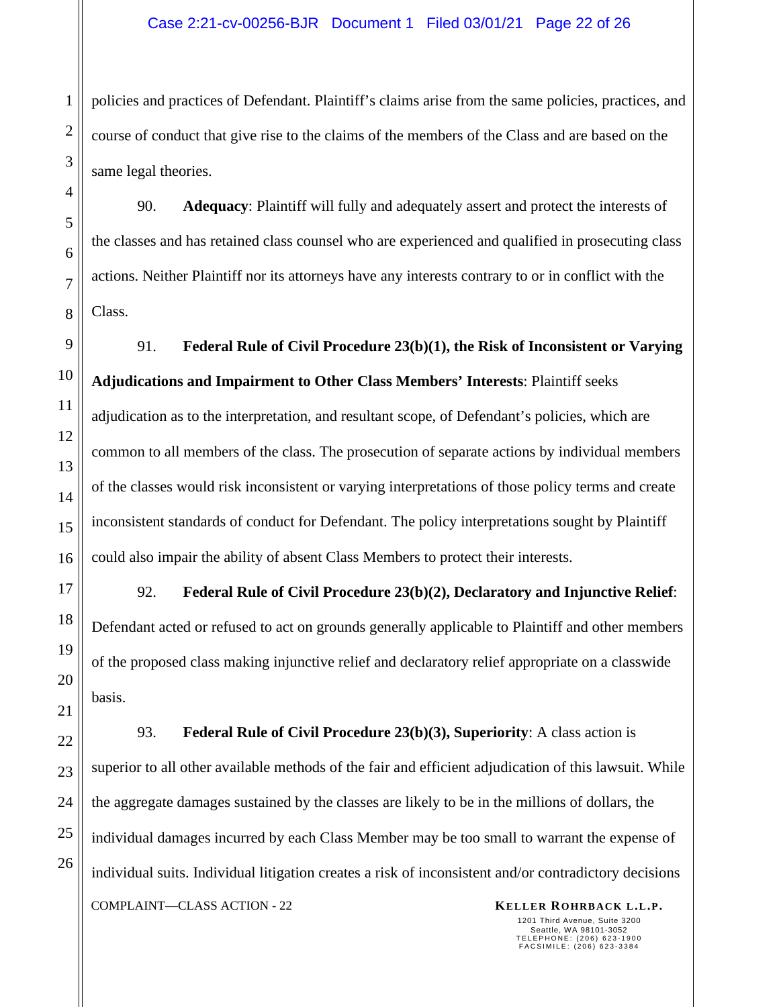policies and practices of Defendant. Plaintiff's claims arise from the same policies, practices, and course of conduct that give rise to the claims of the members of the Class and are based on the same legal theories.

90. **Adequacy**: Plaintiff will fully and adequately assert and protect the interests of the classes and has retained class counsel who are experienced and qualified in prosecuting class actions. Neither Plaintiff nor its attorneys have any interests contrary to or in conflict with the Class.

91. **Federal Rule of Civil Procedure 23(b)(1), the Risk of Inconsistent or Varying Adjudications and Impairment to Other Class Members' Interests**: Plaintiff seeks adjudication as to the interpretation, and resultant scope, of Defendant's policies, which are common to all members of the class. The prosecution of separate actions by individual members of the classes would risk inconsistent or varying interpretations of those policy terms and create inconsistent standards of conduct for Defendant. The policy interpretations sought by Plaintiff could also impair the ability of absent Class Members to protect their interests.

92. **Federal Rule of Civil Procedure 23(b)(2), Declaratory and Injunctive Relief**: Defendant acted or refused to act on grounds generally applicable to Plaintiff and other members of the proposed class making injunctive relief and declaratory relief appropriate on a classwide basis.

93. **Federal Rule of Civil Procedure 23(b)(3), Superiority**: A class action is superior to all other available methods of the fair and efficient adjudication of this lawsuit. While the aggregate damages sustained by the classes are likely to be in the millions of dollars, the individual damages incurred by each Class Member may be too small to warrant the expense of individual suits. Individual litigation creates a risk of inconsistent and/or contradictory decisions

**COMPLAINT—CLASS ACTION - 22 KELLER ROHRBACK L.L.P.**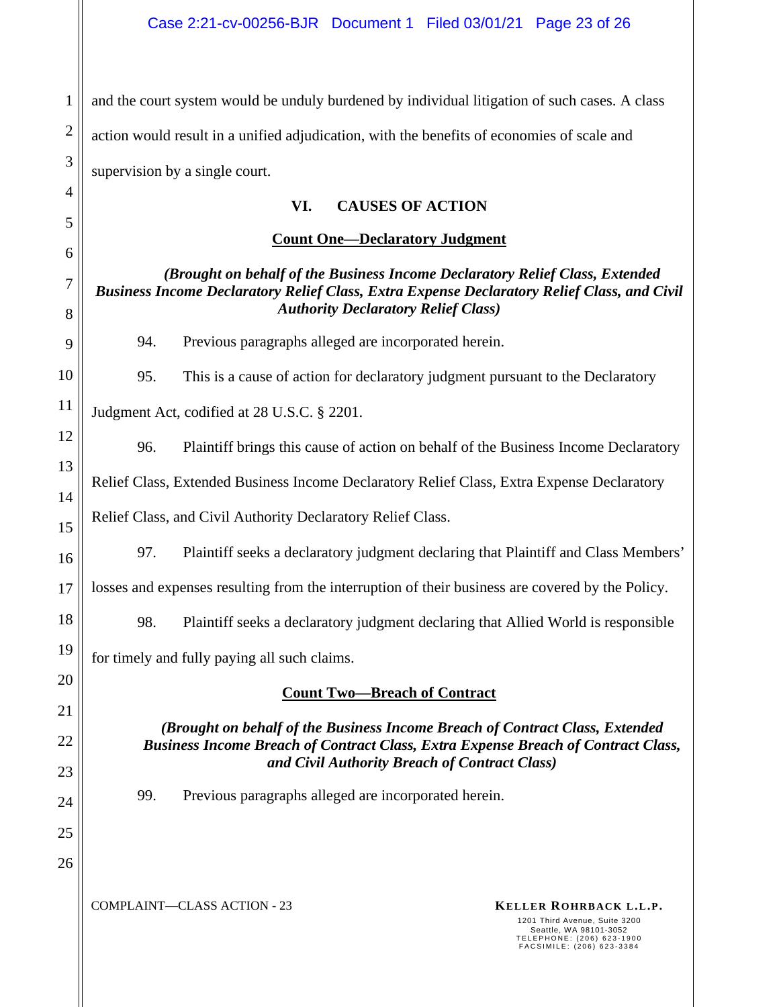and the court system would be unduly burdened by individual litigation of such cases. A class action would result in a unified adjudication, with the benefits of economies of scale and supervision by a single court.

# **VI. CAUSES OF ACTION**

# **Count One—Declaratory Judgment**

# *(Brought on behalf of the Business Income Declaratory Relief Class, Extended Business Income Declaratory Relief Class, Extra Expense Declaratory Relief Class, and Civil Authority Declaratory Relief Class)*

94. Previous paragraphs alleged are incorporated herein.

95. This is a cause of action for declaratory judgment pursuant to the Declaratory

Judgment Act, codified at 28 U.S.C. § 2201.

96. Plaintiff brings this cause of action on behalf of the Business Income Declaratory

Relief Class, Extended Business Income Declaratory Relief Class, Extra Expense Declaratory

Relief Class, and Civil Authority Declaratory Relief Class.

97. Plaintiff seeks a declaratory judgment declaring that Plaintiff and Class Members'

losses and expenses resulting from the interruption of their business are covered by the Policy.

98. Plaintiff seeks a declaratory judgment declaring that Allied World is responsible

for timely and fully paying all such claims.

# **Count Two—Breach of Contract**

*(Brought on behalf of the Business Income Breach of Contract Class, Extended Business Income Breach of Contract Class, Extra Expense Breach of Contract Class, and Civil Authority Breach of Contract Class)*

99. Previous paragraphs alleged are incorporated herein.

**COMPLAINT—CLASS ACTION - 23 KELLER ROHRBACK L.L.P.**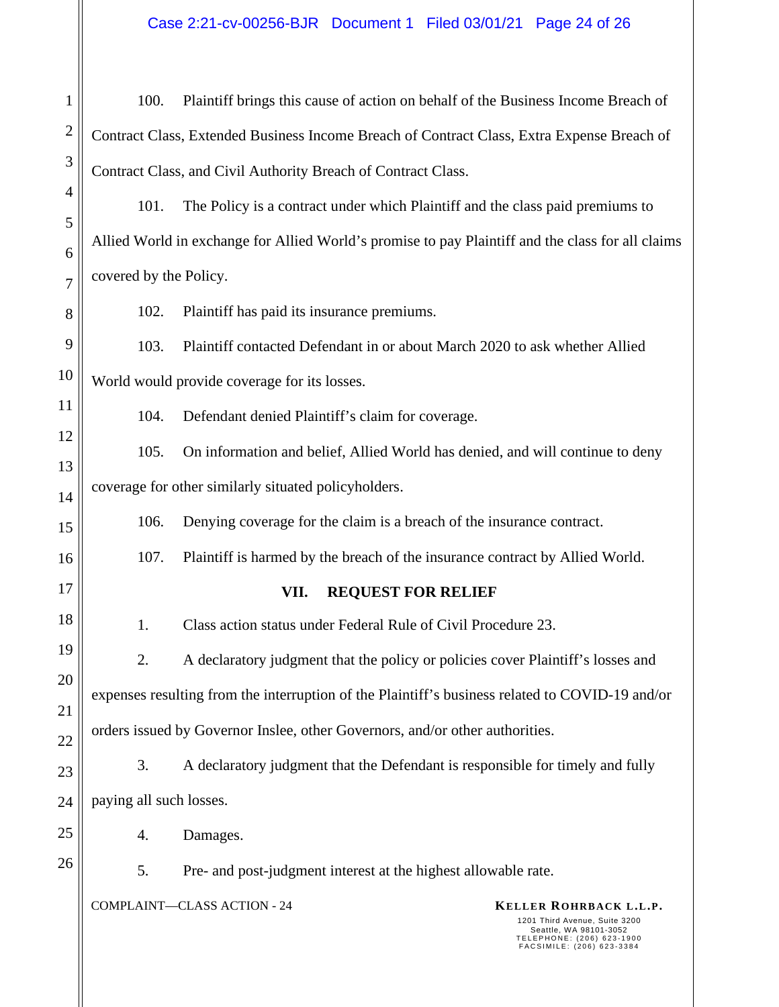# Case 2:21-cv-00256-BJR Document 1 Filed 03/01/21 Page 24 of 26

| $\mathbf{1}$   | 100.                                                                                              | Plaintiff brings this cause of action on behalf of the Business Income Breach of                                                                                           |  |  |
|----------------|---------------------------------------------------------------------------------------------------|----------------------------------------------------------------------------------------------------------------------------------------------------------------------------|--|--|
| $\overline{2}$ | Contract Class, Extended Business Income Breach of Contract Class, Extra Expense Breach of        |                                                                                                                                                                            |  |  |
| 3              | Contract Class, and Civil Authority Breach of Contract Class.                                     |                                                                                                                                                                            |  |  |
| $\overline{4}$ | 101.                                                                                              | The Policy is a contract under which Plaintiff and the class paid premiums to                                                                                              |  |  |
| 5<br>6         | Allied World in exchange for Allied World's promise to pay Plaintiff and the class for all claims |                                                                                                                                                                            |  |  |
| $\overline{7}$ | covered by the Policy.                                                                            |                                                                                                                                                                            |  |  |
| 8              | 102.                                                                                              | Plaintiff has paid its insurance premiums.                                                                                                                                 |  |  |
| 9              | 103.                                                                                              | Plaintiff contacted Defendant in or about March 2020 to ask whether Allied                                                                                                 |  |  |
| 10             | World would provide coverage for its losses.                                                      |                                                                                                                                                                            |  |  |
| 11             | 104.                                                                                              | Defendant denied Plaintiff's claim for coverage.                                                                                                                           |  |  |
| 12             | 105.                                                                                              | On information and belief, Allied World has denied, and will continue to deny                                                                                              |  |  |
| 13<br>14       | coverage for other similarly situated policyholders.                                              |                                                                                                                                                                            |  |  |
| 15             | 106.                                                                                              | Denying coverage for the claim is a breach of the insurance contract.                                                                                                      |  |  |
| 16             | 107.                                                                                              | Plaintiff is harmed by the breach of the insurance contract by Allied World.                                                                                               |  |  |
| 17             | VII.<br><b>REQUEST FOR RELIEF</b>                                                                 |                                                                                                                                                                            |  |  |
| 18             | 1.                                                                                                | Class action status under Federal Rule of Civil Procedure 23.                                                                                                              |  |  |
| 19             | $\overline{2}$ .                                                                                  | A declaratory judgment that the policy or policies cover Plaintiff's losses and                                                                                            |  |  |
| 20             | expenses resulting from the interruption of the Plaintiff's business related to COVID-19 and/or   |                                                                                                                                                                            |  |  |
| 21             | orders issued by Governor Inslee, other Governors, and/or other authorities.                      |                                                                                                                                                                            |  |  |
| 22             | 3.                                                                                                | A declaratory judgment that the Defendant is responsible for timely and fully                                                                                              |  |  |
| 23<br>24       | paying all such losses.                                                                           |                                                                                                                                                                            |  |  |
| 25             | Damages.<br>4.                                                                                    |                                                                                                                                                                            |  |  |
| 26             | 5.                                                                                                | Pre- and post-judgment interest at the highest allowable rate.                                                                                                             |  |  |
|                |                                                                                                   |                                                                                                                                                                            |  |  |
|                |                                                                                                   | COMPLAINT-CLASS ACTION - 24<br>KELLER ROHRBACK L.L.P.<br>1201 Third Avenue, Suite 3200<br>Seattle, WA 98101-3052<br>TELEPHONE: (206) 623-1900<br>FACSIMILE: (206) 623-3384 |  |  |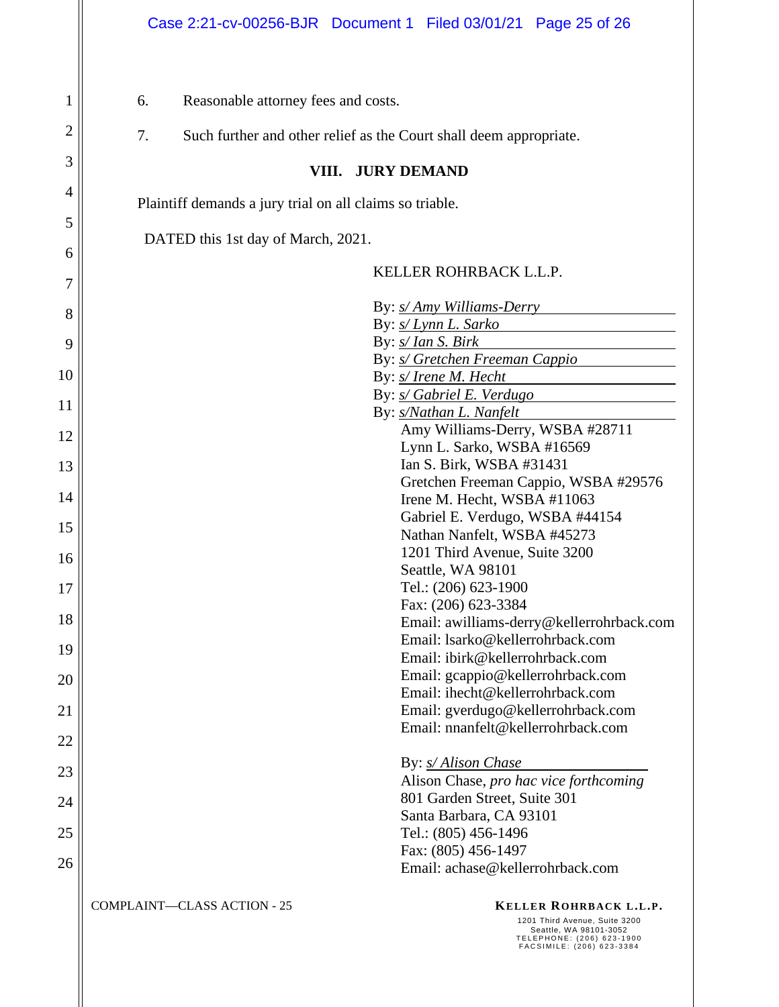| 1              | 6.<br>Reasonable attorney fees and costs.                                                                                                                                         |  |  |
|----------------|-----------------------------------------------------------------------------------------------------------------------------------------------------------------------------------|--|--|
| $\overline{2}$ | 7.<br>Such further and other relief as the Court shall deem appropriate.                                                                                                          |  |  |
| 3              | VIII. JURY DEMAND                                                                                                                                                                 |  |  |
| 4              | Plaintiff demands a jury trial on all claims so triable.                                                                                                                          |  |  |
| 5              | DATED this 1st day of March, 2021.                                                                                                                                                |  |  |
| 6              |                                                                                                                                                                                   |  |  |
| 7              | KELLER ROHRBACK L.L.P.                                                                                                                                                            |  |  |
| 8              | By: <i>s/Amy Williams-Derry</i><br>By: <i>s/ Lynn L. Sarko</i>                                                                                                                    |  |  |
| 9              | By: <i>s/ Ian S. Birk</i>                                                                                                                                                         |  |  |
|                | By: s/ Gretchen Freeman Cappio                                                                                                                                                    |  |  |
| 10             | By: s/ Irene M. Hecht                                                                                                                                                             |  |  |
|                | By: <i>s/ Gabriel E. Verdugo</i>                                                                                                                                                  |  |  |
| 11             | By: s/Nathan L. Nanfelt                                                                                                                                                           |  |  |
| 12             | Amy Williams-Derry, WSBA #28711                                                                                                                                                   |  |  |
|                | Lynn L. Sarko, WSBA #16569                                                                                                                                                        |  |  |
| 13             | Ian S. Birk, WSBA #31431                                                                                                                                                          |  |  |
| 14             | Gretchen Freeman Cappio, WSBA #29576                                                                                                                                              |  |  |
|                | Irene M. Hecht, WSBA #11063                                                                                                                                                       |  |  |
| 15             | Gabriel E. Verdugo, WSBA #44154<br>Nathan Nanfelt, WSBA #45273                                                                                                                    |  |  |
|                | 1201 Third Avenue, Suite 3200                                                                                                                                                     |  |  |
| 16             | Seattle, WA 98101                                                                                                                                                                 |  |  |
| 17             | Tel.: (206) 623-1900                                                                                                                                                              |  |  |
|                | Fax: (206) 623-3384                                                                                                                                                               |  |  |
| 18             | Email: awilliams-derry@kellerrohrback.com                                                                                                                                         |  |  |
| 19             | Email: lsarko@kellerrohrback.com                                                                                                                                                  |  |  |
|                | Email: ibirk@kellerrohrback.com                                                                                                                                                   |  |  |
| 20             | Email: gcappio@kellerrohrback.com<br>Email: ihecht@kellerrohrback.com                                                                                                             |  |  |
| 21             | Email: gverdugo@kellerrohrback.com                                                                                                                                                |  |  |
|                | Email: nnanfelt@kellerrohrback.com                                                                                                                                                |  |  |
| 22             |                                                                                                                                                                                   |  |  |
| 23             | By: <i>s/Alison Chase</i>                                                                                                                                                         |  |  |
|                | Alison Chase, pro hac vice forthcoming<br>801 Garden Street, Suite 301                                                                                                            |  |  |
| 24             | Santa Barbara, CA 93101                                                                                                                                                           |  |  |
| 25             | Tel.: (805) 456-1496                                                                                                                                                              |  |  |
|                | Fax: (805) 456-1497                                                                                                                                                               |  |  |
| 26             | Email: achase@kellerrohrback.com                                                                                                                                                  |  |  |
|                | <b>COMPLAINT-CLASS ACTION - 25</b><br>KELLER ROHRBACK L.L.P.<br>1201 Third Avenue, Suite 3200<br>Seattle, WA 98101-3052<br>TELEPHONE: (206) 623-1900<br>FACSIMILE: (206) 623-3384 |  |  |